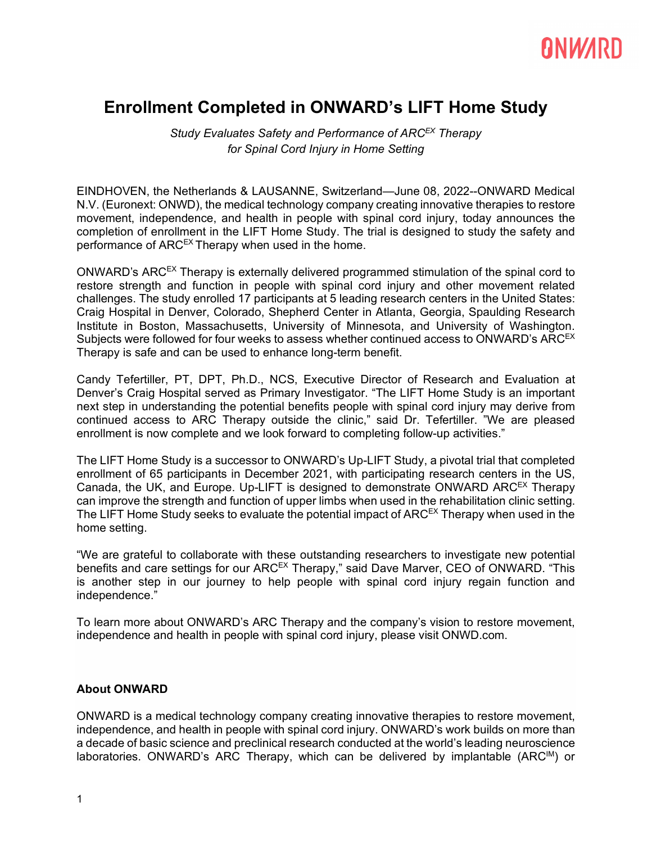# ANWARD

### **Enrollment Completed in ONWARD's LIFT Home Study**

*Study Evaluates Safety and Performance of ARCEX Therapy for Spinal Cord Injury in Home Setting*

EINDHOVEN, the Netherlands & LAUSANNE, Switzerland—June 08, 2022--ONWARD Medical N.V. (Euronext: ONWD), the medical technology company creating innovative therapies to restore movement, independence, and health in people with spinal cord injury, today announces the completion of enrollment in the LIFT Home Study. The trial is designed to study the safety and performance of  $ARC<sup>EX</sup>$  Therapy when used in the home.

ONWARD's ARCEX Therapy is externally delivered programmed stimulation of the spinal cord to restore strength and function in people with spinal cord injury and other movement related challenges. The study enrolled 17 participants at 5 leading research centers in the United States: Craig Hospital in Denver, Colorado, Shepherd Center in Atlanta, Georgia, Spaulding Research Institute in Boston, Massachusetts, University of Minnesota, and University of Washington. Subjects were followed for four weeks to assess whether continued access to ONWARD's ARC<sup>EX</sup> Therapy is safe and can be used to enhance long-term benefit.

Candy Tefertiller, PT, DPT, Ph.D., NCS, Executive Director of Research and Evaluation at Denver's Craig Hospital served as Primary Investigator. "The LIFT Home Study is an important next step in understanding the potential benefits people with spinal cord injury may derive from continued access to ARC Therapy outside the clinic," said Dr. Tefertiller. "We are pleased enrollment is now complete and we look forward to completing follow-up activities."

The LIFT Home Study is a successor to ONWARD's Up-LIFT Study, a pivotal trial that completed enrollment of 65 participants in December 2021, with participating research centers in the US, Canada, the UK, and Europe. Up-LIFT is designed to demonstrate ONWARD ARC<sup>EX</sup> Therapy can improve the strength and function of upper limbs when used in the rehabilitation clinic setting. The LIFT Home Study seeks to evaluate the potential impact of  $ARC<sup>EX</sup>$  Therapy when used in the home setting.

"We are grateful to collaborate with these outstanding researchers to investigate new potential benefits and care settings for our ARC<sup>EX</sup> Therapy," said Dave Marver, CEO of ONWARD. "This is another step in our journey to help people with spinal cord injury regain function and independence."

To learn more about ONWARD's ARC Therapy and the company's vision to restore movement, independence and health in people with spinal cord injury, please visit [ONWD.com.](https://cts.businesswire.com/ct/CT?id=smartlink&url=https%3A%2F%2Fonwd.com&esheet=52360086&newsitemid=20210112005241&lan=en-US&anchor=ONWD.com&index=2&md5=73553992721d026cf9abe5711ee81b73)

#### **About ONWARD**

ONWARD is a medical technology company creating innovative therapies to restore movement, independence, and health in people with spinal cord injury. ONWARD's work builds on more than a decade of basic science and preclinical research conducted at the world's leading neuroscience laboratories. ONWARD's ARC Therapy, which can be delivered by implantable (ARC<sup>IM</sup>) or